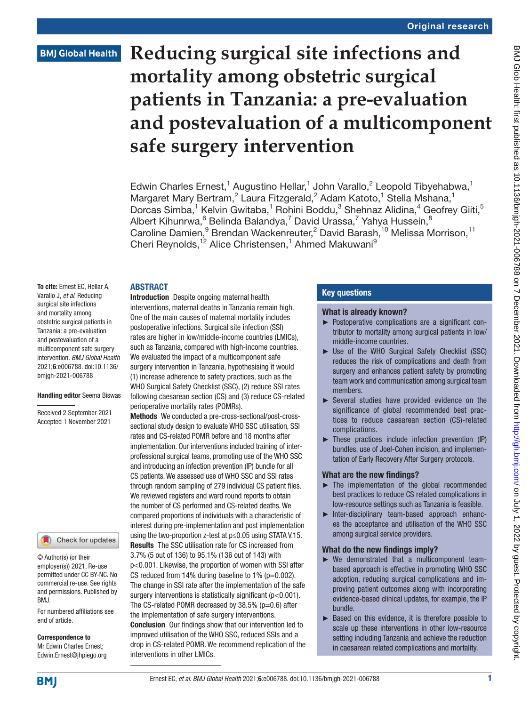**Reducing surgical site infections and mortality among obstetric surgical patients in Tanzania: a pre-evaluation and postevaluation of a multicomponent safe surgery intervention**

Edwin Charles Ernest,<sup>1</sup> Augustino Hellar,<sup>1</sup> John Varallo,<sup>2</sup> Leopold Tibyehabwa,<sup>1</sup> Margaret Mary Bertram,<sup>2</sup> Laura Fitzgerald,<sup>2</sup> Adam Katoto,<sup>1</sup> Stella Mshana,<sup>1</sup> Dorcas Simba,<sup>1</sup> Kelvin Gwitaba,<sup>1</sup> Rohini Boddu,<sup>3</sup> Shehnaz Alidina,<sup>4</sup> Geofrey Giiti,<sup>5</sup> Albert Kihunrwa, $^6$  Belinda Balandya, $^7$  David Urassa, $^7$  Yahya Hussein, $^8$ Caroline Damien,<sup>9</sup> Brendan Wackenreuter,<sup>2</sup> David Barash,<sup>10</sup> Melissa Morrison,<sup>11</sup> Cheri Reynolds,<sup>12</sup> Alice Christensen,<sup>1</sup> Ahmed Makuwani<sup>9</sup>

## ABSTRACT

To cite: Ernest EC, Hellar A, Varallo J, *et al*. Reducing surgical site infections and mortality among obstetric surgical patients in Tanzania: a pre-evaluation and postevaluation of a multicomponent safe surgery intervention. *BMJ Global Health* 2021;6:e006788. doi:10.1136/ bmjgh-2021-006788

#### Handling editor Seema Biswas

Received 2 September 2021 Accepted 1 November 2021



© Author(s) (or their employer(s)) 2021. Re-use permitted under CC BY-NC. No commercial re-use. See rights and permissions. Published by BMJ.

For numbered affiliations see end of article.

Correspondence to Mr Edwin Charles Ernest; Edwin.Ernest@jhpiego.org

Introduction Despite ongoing maternal health interventions, maternal deaths in Tanzania remain high. One of the main causes of maternal mortality includes postoperative infections. Surgical site infection (SSI) rates are higher in low/middle-income countries (LMICs), such as Tanzania, compared with high-income countries. We evaluated the impact of a multicomponent safe surgery intervention in Tanzania, hypothesising it would (1) increase adherence to safety practices, such as the WHO Surgical Safety Checklist (SSC), (2) reduce SSI rates following caesarean section (CS) and (3) reduce CS-related perioperative mortality rates (POMRs).

Methods We conducted a pre-cross-sectional/post-crosssectional study design to evaluate WHO SSC utilisation, SSI rates and CS-related POMR before and 18 months after implementation. Our interventions included training of interprofessional surgical teams, promoting use of the WHO SSC and introducing an infection prevention (IP) bundle for all CS patients. We assessed use of WHO SSC and SSI rates through random sampling of 279 individual CS patient files. We reviewed registers and ward round reports to obtain the number of CS performed and CS-related deaths. We compared proportions of individuals with a characteristic of interest during pre-implementation and post implementation using the two-proportion z-test at p≤0.05 using STATA V.15. Results The SSC utilisation rate for CS increased from 3.7% (5 out of 136) to 95.1% (136 out of 143) with p<0.001. Likewise, the proportion of women with SSI after CS reduced from 14% during baseline to 1% ( $p=0.002$ ). The change in SSI rate after the implementation of the safe

surgery interventions is statistically significant (p<0.001). The CS-related POMR decreased by  $38.5\%$  (p=0.6) after the implementation of safe surgery interventions. Conclusion Our findings show that our intervention led to improved utilisation of the WHO SSC, reduced SSIs and a drop in CS-related POMR. We recommend replication of the interventions in other LMICs.

## Key questions

## What is already known?

- ► Postoperative complications are a significant contributor to mortality among surgical patients in low/ middle-income countries.
- ► Use of the WHO Surgical Safety Checklist (SSC) reduces the risk of complications and death from surgery and enhances patient safety by promoting team work and communication among surgical team members.
- ► Several studies have provided evidence on the significance of global recommended best practices to reduce caesarean section (CS)-related complications.
- $\blacktriangleright$  These practices include infection prevention (IP) bundles, use of Joel-Cohen incision, and implementation of Early Recovery After Surgery protocols.

# What are the new findings?

- ► The implementation of the global recommended best practices to reduce CS related complications in low-resource settings such as Tanzania is feasible.
- ► Inter-disciplinary team-based approach enhances the acceptance and utilisation of the WHO SSC among surgical service providers.

# What do the new findings imply?

- ► We demonstrated that a multicomponent teambased approach is effective in promoting WHO SSC adoption, reducing surgical complications and improving patient outcomes along with incorporating evidence-based clinical updates, for example, the IP bundle.
- ► Based on this evidence, it is therefore possible to scale up these interventions in other low-resource setting including Tanzania and achieve the reduction in caesarean related complications and mortality.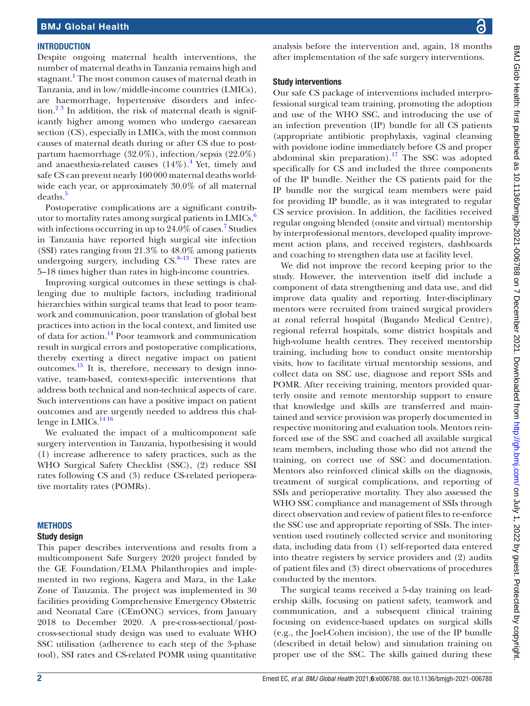#### **INTRODUCTION**

Despite ongoing maternal health interventions, the number of maternal deaths in Tanzania remains high and stagnant.<sup>1</sup> The most common causes of maternal death in Tanzania, and in low/middle-income countries (LMICs), are haemorrhage, hypertensive disorders and infec- $\frac{1}{2}$  in addition, the risk of maternal death is significantly higher among women who undergo caesarean section (CS), especially in LMICs, with the most common causes of maternal death during or after CS due to postpartum haemorrhage (32.0%), infection/sepsis (22.0%) and anaesthesia-related causes  $(14\%)$  $(14\%)$  $(14\%)$ .<sup>4</sup> Yet, timely and safe CS can prevent nearly 100000 maternal deaths worldwide each year, or approximately 30.0% of all maternal deaths.<sup>[5](#page-6-3)</sup>

Postoperative complications are a significant contributor to mortality rates among surgical patients in  $LMICs<sub>6</sub>$  $LMICs<sub>6</sub>$  $LMICs<sub>6</sub>$ <sup>6</sup> with infections occurring in up to 24.0% of cases.<sup>[7](#page-6-5)</sup> Studies in Tanzania have reported high surgical site infection (SSI) rates ranging from 21.3% to 48.0% among patients undergoing surgery, including  $CS$ <sup>8–13</sup> These rates are 5–18 times higher than rates in high-income countries.

Improving surgical outcomes in these settings is challenging due to multiple factors, including traditional hierarchies within surgical teams that lead to poor teamwork and communication, poor translation of global best practices into action in the local context, and limited use of data for action.<sup>14</sup> Poor teamwork and communication result in surgical errors and postoperative complications, thereby exerting a direct negative impact on patient outcomes.<sup>[15](#page-7-0)</sup> It is, therefore, necessary to design innovative, team-based, context-specific interventions that address both technical and non-technical aspects of care. Such interventions can have a positive impact on patient outcomes and are urgently needed to address this chal-lenge in LMICs.<sup>[14 16](#page-6-7)</sup>

We evaluated the impact of a multicomponent safe surgery intervention in Tanzania, hypothesising it would (1) increase adherence to safety practices, such as the WHO Surgical Safety Checklist (SSC), (2) reduce SSI rates following CS and (3) reduce CS-related perioperative mortality rates (POMRs).

#### **METHODS**

#### Study design

This paper describes interventions and results from a multicomponent Safe Surgery 2020 project funded by the GE Foundation/ELMA Philanthropies and implemented in two regions, Kagera and Mara, in the Lake Zone of Tanzania. The project was implemented in 30 facilities providing Comprehensive Emergency Obstetric and Neonatal Care (CEmONC) services, from January 2018 to December 2020. A pre-cross-sectional/postcross-sectional study design was used to evaluate WHO SSC utilisation (adherence to each step of the 3-phase tool), SSI rates and CS-related POMR using quantitative

analysis before the intervention and, again, 18 months after implementation of the safe surgery interventions.

#### Study interventions

Our safe CS package of interventions included interprofessional surgical team training, promoting the adoption and use of the WHO SSC, and introducing the use of an infection prevention (IP) bundle for all CS patients (appropriate antibiotic prophylaxis, vaginal cleansing with povidone iodine immediately before CS and proper abdominal skin preparation).<sup>17</sup> The SSC was adopted specifically for CS and included the three components of the IP bundle. Neither the CS patients paid for the IP bundle nor the surgical team members were paid for providing IP bundle, as it was integrated to regular CS service provision. In addition, the facilities received regular ongoing blended (onsite and virtual) mentorship by interprofessional mentors, developed quality improvement action plans, and received registers, dashboards and coaching to strengthen data use at facility level.

We did not improve the record keeping prior to the study. However, the intervention itself did include a component of data strengthening and data use, and did improve data quality and reporting. Inter-disciplinary mentors were recruited from trained surgical providers at zonal referral hospital (Bugando Medical Centre), regional referral hospitals, some district hospitals and high-volume health centres. They received mentorship training, including how to conduct onsite mentorship visits, how to facilitate virtual mentorship sessions, and collect data on SSC use, diagnose and report SSIs and POMR. After receiving training, mentors provided quarterly onsite and remote mentorship support to ensure that knowledge and skills are transferred and maintained and service provision was properly documented in respective monitoring and evaluation tools. Mentors reinforced use of the SSC and coached all available surgical team members, including those who did not attend the training, on correct use of SSC and documentation. Mentors also reinforced clinical skills on the diagnosis, treatment of surgical complications, and reporting of SSIs and perioperative mortality. They also assessed the WHO SSC compliance and management of SSIs through direct observation and review of patient files to re-enforce the SSC use and appropriate reporting of SSIs. The intervention used routinely collected service and monitoring data, including data from (1) self-reported data entered into theatre registers by service providers and (2) audits of patient files and (3) direct observations of procedures conducted by the mentors.

The surgical teams received a 5-day training on leadership skills, focusing on patient safety, teamwork and communication, and a subsequent clinical training focusing on evidence-based updates on surgical skills (e.g., the Joel-Cohen incision), the use of the IP bundle (described in detail below) and simulation training on proper use of the SSC. The skills gained during these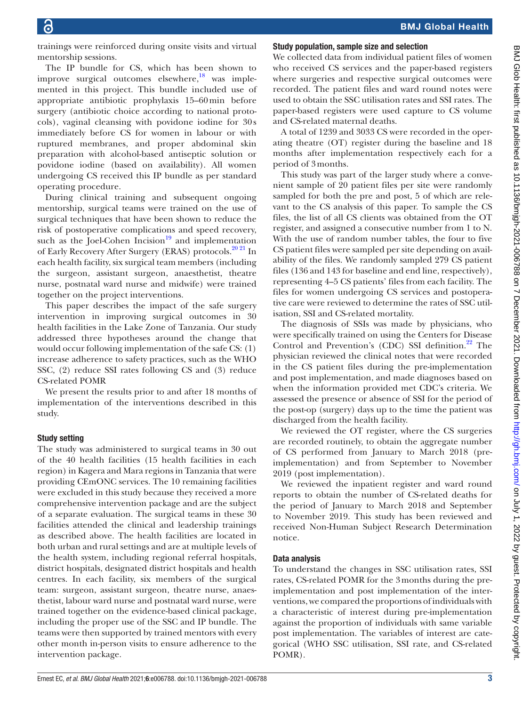trainings were reinforced during onsite visits and virtual mentorship sessions.

The IP bundle for CS, which has been shown to improve surgical outcomes elsewhere, $\frac{18}{18}$  was implemented in this project. This bundle included use of appropriate antibiotic prophylaxis 15–60min before surgery (antibiotic choice according to national protocols), vaginal cleansing with povidone iodine for 30 s immediately before CS for women in labour or with ruptured membranes, and proper abdominal skin preparation with alcohol-based antiseptic solution or povidone iodine (based on availability). All women undergoing CS received this IP bundle as per standard operating procedure.

During clinical training and subsequent ongoing mentorship, surgical teams were trained on the use of surgical techniques that have been shown to reduce the risk of postoperative complications and speed recovery, such as the Joel-Cohen Incision $19$  and implementation of Early Recovery After Surgery (ERAS) protocols.<sup>[20 21](#page-7-4)</sup> In each health facility, six surgical team members (including the surgeon, assistant surgeon, anaesthetist, theatre nurse, postnatal ward nurse and midwife) were trained together on the project interventions.

This paper describes the impact of the safe surgery intervention in improving surgical outcomes in 30 health facilities in the Lake Zone of Tanzania. Our study addressed three hypotheses around the change that would occur following implementation of the safe CS: (1) increase adherence to safety practices, such as the WHO SSC, (2) reduce SSI rates following CS and (3) reduce CS-related POMR

We present the results prior to and after 18 months of implementation of the interventions described in this study.

## Study setting

The study was administered to surgical teams in 30 out of the 40 health facilities (15 health facilities in each region) in Kagera and Mara regions in Tanzania that were providing CEmONC services. The 10 remaining facilities were excluded in this study because they received a more comprehensive intervention package and are the subject of a separate evaluation. The surgical teams in these 30 facilities attended the clinical and leadership trainings as described above. The health facilities are located in both urban and rural settings and are at multiple levels of the health system, including regional referral hospitals, district hospitals, designated district hospitals and health centres. In each facility, six members of the surgical team: surgeon, assistant surgeon, theatre nurse, anaesthetist, labour ward nurse and postnatal ward nurse, were trained together on the evidence-based clinical package, including the proper use of the SSC and IP bundle. The teams were then supported by trained mentors with every other month in-person visits to ensure adherence to the intervention package.

## Study population, sample size and selection

We collected data from individual patient files of women who received CS services and the paper-based registers where surgeries and respective surgical outcomes were recorded. The patient files and ward round notes were used to obtain the SSC utilisation rates and SSI rates. The paper-based registers were used capture to CS volume and CS-related maternal deaths.

A total of 1239 and 3033 CS were recorded in the operating theatre (OT) register during the baseline and 18 months after implementation respectively each for a period of 3months.

This study was part of the larger study where a convenient sample of 20 patient files per site were randomly sampled for both the pre and post, 5 of which are relevant to the CS analysis of this paper. To sample the CS files, the list of all CS clients was obtained from the OT register, and assigned a consecutive number from 1 to N. With the use of random number tables, the four to five CS patient files were sampled per site depending on availability of the files. We randomly sampled 279 CS patient files (136 and 143 for baseline and end line, respectively), representing 4–5 CS patients' files from each facility. The files for women undergoing CS services and postoperative care were reviewed to determine the rates of SSC utilisation, SSI and CS-related mortality.

The diagnosis of SSIs was made by physicians, who were specifically trained on using the Centers for Disease Control and Prevention's (CDC) SSI definition.<sup>22</sup> The physician reviewed the clinical notes that were recorded in the CS patient files during the pre-implementation and post implementation, and made diagnoses based on when the information provided met CDC's criteria. We assessed the presence or absence of SSI for the period of the post-op (surgery) days up to the time the patient was discharged from the health facility.

We reviewed the OT register, where the CS surgeries are recorded routinely, to obtain the aggregate number of CS performed from January to March 2018 (preimplementation) and from September to November 2019 (post implementation).

We reviewed the inpatient register and ward round reports to obtain the number of CS-related deaths for the period of January to March 2018 and September to November 2019. This study has been reviewed and received Non-Human Subject Research Determination notice.

# Data analysis

To understand the changes in SSC utilisation rates, SSI rates, CS-related POMR for the 3months during the preimplementation and post implementation of the interventions, we compared the proportions of individuals with a characteristic of interest during pre-implementation against the proportion of individuals with same variable post implementation. The variables of interest are categorical (WHO SSC utilisation, SSI rate, and CS-related POMR).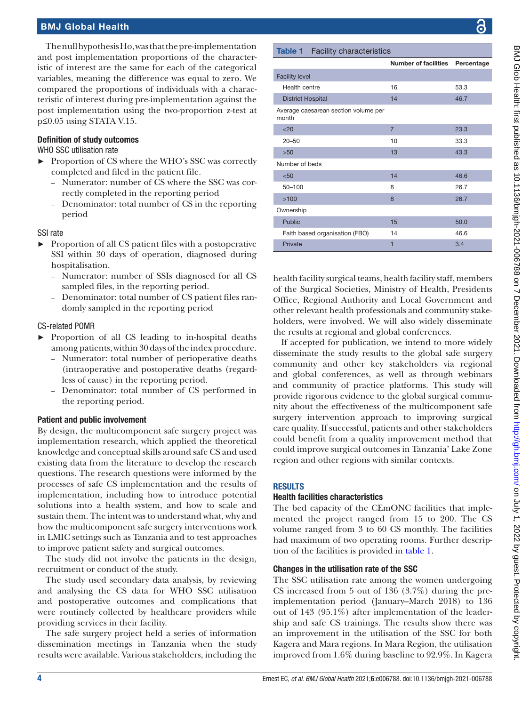The null hypothesis Ho, was that the pre-implementation and post implementation proportions of the characteristic of interest are the same for each of the categorical variables, meaning the difference was equal to zero. We compared the proportions of individuals with a characteristic of interest during pre-implementation against the post implementation using the two-proportion z-test at p≤0.05 using STATA V.15.

## Definition of study outcomes

## WHO SSC utilisation rate

- ► Proportion of CS where the WHO's SSC was correctly completed and filed in the patient file.
	- Numerator: number of CS where the SSC was correctly completed in the reporting period
	- Denominator: total number of CS in the reporting period

## SSI rate

- ► Proportion of all CS patient files with a postoperative SSI within 30 days of operation, diagnosed during hospitalisation.
	- Numerator: number of SSIs diagnosed for all CS sampled files, in the reporting period.
	- Denominator: total number of CS patient files randomly sampled in the reporting period

## CS-related POMR

- ► Proportion of all CS leading to in-hospital deaths among patients, within 30 days of the index procedure.
	- Numerator: total number of perioperative deaths (intraoperative and postoperative deaths (regardless of cause) in the reporting period.
	- Denominator: total number of CS performed in the reporting period.

## Patient and public involvement

By design, the multicomponent safe surgery project was implementation research, which applied the theoretical knowledge and conceptual skills around safe CS and used existing data from the literature to develop the research questions. The research questions were informed by the processes of safe CS implementation and the results of implementation, including how to introduce potential solutions into a health system, and how to scale and sustain them. The intent was to understand what, why and how the multicomponent safe surgery interventions work in LMIC settings such as Tanzania and to test approaches to improve patient safety and surgical outcomes.

The study did not involve the patients in the design, recruitment or conduct of the study.

The study used secondary data analysis, by reviewing and analysing the CS data for WHO SSC utilisation and postoperative outcomes and complications that were routinely collected by healthcare providers while providing services in their facility.

The safe surgery project held a series of information dissemination meetings in Tanzania when the study results were available. Various stakeholders, including the

#### <span id="page-3-0"></span>Table 1 Facility characteristics

|                                               | Number of facilities Percentage |      |
|-----------------------------------------------|---------------------------------|------|
| <b>Facility level</b>                         |                                 |      |
| Health centre                                 | 16                              | 53.3 |
| <b>District Hospital</b>                      | 14                              | 46.7 |
| Average caesarean section volume per<br>month |                                 |      |
| < 20                                          | $\overline{7}$                  | 23.3 |
| $20 - 50$                                     | 10                              | 33.3 |
| >50                                           | 13                              | 43.3 |
| Number of beds                                |                                 |      |
| < 50                                          | 14                              | 46.6 |
| 50-100                                        | 8                               | 26.7 |
| >100                                          | 8                               | 26.7 |
| Ownership                                     |                                 |      |
| <b>Public</b>                                 | 15                              | 50.0 |
| Faith based organisation (FBO)                | 14                              | 46.6 |
| Private                                       | 1                               | 3.4  |

health facility surgical teams, health facility staff, members of the Surgical Societies, Ministry of Health, Presidents Office, Regional Authority and Local Government and other relevant health professionals and community stakeholders, were involved. We will also widely disseminate the results at regional and global conferences.

If accepted for publication, we intend to more widely disseminate the study results to the global safe surgery community and other key stakeholders via regional and global conferences, as well as through webinars and community of practice platforms. This study will provide rigorous evidence to the global surgical community about the effectiveness of the multicomponent safe surgery intervention approach to improving surgical care quality. If successful, patients and other stakeholders could benefit from a quality improvement method that could improve surgical outcomes in Tanzania' Lake Zone region and other regions with similar contexts.

## RESULTS

## Health facilities characteristics

The bed capacity of the CEmONC facilities that implemented the project ranged from 15 to 200. The CS volume ranged from 3 to 60 CS monthly. The facilities had maximum of two operating rooms. Further description of the facilities is provided in [table](#page-3-0) 1.

## Changes in the utilisation rate of the SSC

The SSC utilisation rate among the women undergoing CS increased from 5 out of 136 (3.7%) during the preimplementation period (January–March 2018) to 136 out of 143 (95.1%) after implementation of the leadership and safe CS trainings. The results show there was an improvement in the utilisation of the SSC for both Kagera and Mara regions. In Mara Region, the utilisation improved from 1.6% during baseline to 92.9%. In Kagera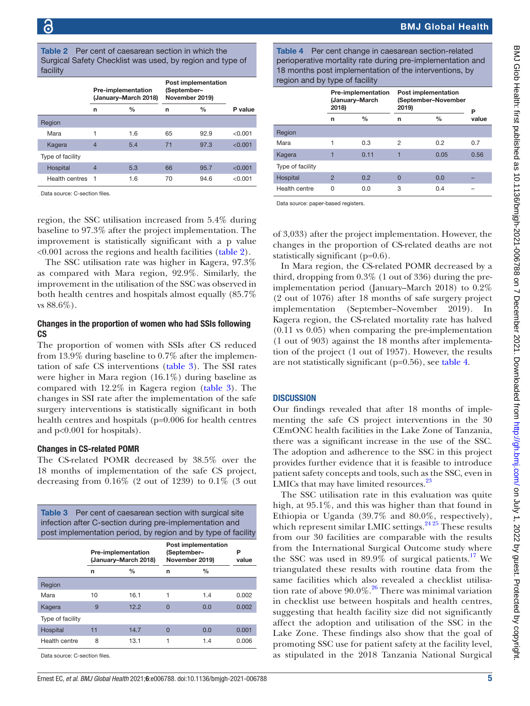<span id="page-4-0"></span>

|          | <b>Table 2</b> Per cent of caesarean section in which the |
|----------|-----------------------------------------------------------|
|          | Surgical Safety Checklist was used, by region and type of |
| facility |                                                           |

|                  | <b>Pre-implementation</b><br>(January-March 2018) |               | <b>Post implementation</b><br>(September-<br>November 2019) |               |         |
|------------------|---------------------------------------------------|---------------|-------------------------------------------------------------|---------------|---------|
|                  | n                                                 | $\frac{0}{0}$ | n                                                           | $\frac{0}{0}$ | P value |
| Region           |                                                   |               |                                                             |               |         |
| Mara             |                                                   | 1.6           | 65                                                          | 92.9          | < 0.001 |
| Kagera           | $\overline{4}$                                    | 5.4           | 71                                                          | 97.3          | < 0.001 |
| Type of facility |                                                   |               |                                                             |               |         |
| Hospital         | 4                                                 | 5.3           | 66                                                          | 95.7          | < 0.001 |
| Health centres   | $\overline{1}$                                    | 1.6           | 70                                                          | 94.6          | < 0.001 |

Data source: C-section files.

region, the SSC utilisation increased from 5.4% during baseline to 97.3% after the project implementation. The improvement is statistically significant with a p value <0.001 across the regions and health facilities ([table](#page-4-0) 2).

The SSC utilisation rate was higher in Kagera, 97.3% as compared with Mara region, 92.9%. Similarly, the improvement in the utilisation of the SSC was observed in both health centres and hospitals almost equally (85.7% vs 88.6%).

#### Changes in the proportion of women who had SSIs following **CS**

The proportion of women with SSIs after CS reduced from 13.9% during baseline to 0.7% after the implementation of safe CS interventions ([table](#page-4-1) 3). The SSI rates were higher in Mara region (16.1%) during baseline as compared with 12.2% in Kagera region ([table](#page-4-1) 3). The changes in SSI rate after the implementation of the safe surgery interventions is statistically significant in both health centres and hospitals (p=0.006 for health centres and p<0.001 for hospitals).

## Changes in CS-related POMR

The CS-related POMR decreased by 38.5% over the 18 months of implementation of the safe CS project, decreasing from  $0.16\%$  (2 out of 1239) to  $0.1\%$  (3 out

<span id="page-4-1"></span>

| <b>Table 3</b> Per cent of caesarean section with surgical site<br>infection after C-section during pre-implementation and<br>post implementation period, by region and by type of facility |                                                   |               |                                                             |               |            |  |
|---------------------------------------------------------------------------------------------------------------------------------------------------------------------------------------------|---------------------------------------------------|---------------|-------------------------------------------------------------|---------------|------------|--|
|                                                                                                                                                                                             | <b>Pre-implementation</b><br>(January-March 2018) |               | <b>Post implementation</b><br>(September-<br>November 2019) |               | P<br>value |  |
|                                                                                                                                                                                             | n                                                 | $\frac{0}{0}$ | n                                                           | $\frac{0}{0}$ |            |  |
| Region                                                                                                                                                                                      |                                                   |               |                                                             |               |            |  |
| Mara                                                                                                                                                                                        | 10                                                | 16.1          | 1                                                           | 1.4           | 0.002      |  |
| Kagera                                                                                                                                                                                      | 9                                                 | 12.2          | $\Omega$                                                    | 0.0           | 0.002      |  |
| Type of facility                                                                                                                                                                            |                                                   |               |                                                             |               |            |  |
| Hospital                                                                                                                                                                                    | 11                                                | 14.7          | $\Omega$                                                    | 0.0           | 0.001      |  |
| Health centre                                                                                                                                                                               | 8                                                 | 13.1          | 1                                                           | 1.4           | 0.006      |  |

Data source: C-section files.

<span id="page-4-2"></span>Table 4 Per cent change in caesarean section-related perioperative mortality rate during pre-implementation and 18 months post implementation of the interventions, by region and by type of facility

| $\sim$                                               |               |                                                     |               |       |  |
|------------------------------------------------------|---------------|-----------------------------------------------------|---------------|-------|--|
| <b>Pre-implementation</b><br>(January-March<br>2018) |               | Post implementation<br>(September-November<br>2019) |               | Р     |  |
| n                                                    | $\frac{0}{0}$ | n                                                   | $\frac{0}{0}$ | value |  |
|                                                      |               |                                                     |               |       |  |
|                                                      | 0.3           | $\overline{2}$                                      | 0.2           | 0.7   |  |
|                                                      | 0.11          | ٦                                                   | 0.05          | 0.56  |  |
|                                                      |               |                                                     |               |       |  |
| $\overline{2}$                                       | 0.2           | $\Omega$                                            | 0.0           |       |  |
| O                                                    | 0.0           | 3                                                   | 0.4           |       |  |
|                                                      |               |                                                     |               |       |  |

Data source: paper-based registers.

of 3,033) after the project implementation. However, the changes in the proportion of CS-related deaths are not statistically significant (p=0.6).

In Mara region, the CS-related POMR decreased by a third, dropping from 0.3% (1 out of 336) during the preimplementation period (January–March 2018) to 0.2% (2 out of 1076) after 18 months of safe surgery project implementation (September–November 2019). In Kagera region, the CS-related mortality rate has halved (0.11 vs 0.05) when comparing the pre-implementation (1 out of 903) against the 18 months after implementation of the project (1 out of 1957). However, the results are not statistically significant (p=0.56), see [table](#page-4-2) 4.

# **DISCUSSION**

Our findings revealed that after 18 months of implementing the safe CS project interventions in the 30 CEmONC health facilities in the Lake Zone of Tanzania, there was a significant increase in the use of the SSC. The adoption and adherence to the SSC in this project provides further evidence that it is feasible to introduce patient safety concepts and tools, such as the SSC, even in LMICs that may have limited resources.<sup>23</sup>

The SSC utilisation rate in this evaluation was quite high, at 95.1%, and this was higher than that found in Ethiopia or Uganda (39.7% and 80.0%, respectively), which represent similar LMIC settings. $^{24\,25}$  These results from our 30 facilities are comparable with the results from the International Surgical Outcome study where the SSC was used in  $89.9\%$  of surgical patients.<sup>[17](#page-7-1)</sup> We triangulated these results with routine data from the same facilities which also revealed a checklist utilisation rate of above  $90.0\%$ .<sup>26</sup> There was minimal variation in checklist use between hospitals and health centres, suggesting that health facility size did not significantly affect the adoption and utilisation of the SSC in the Lake Zone. These findings also show that the goal of promoting SSC use for patient safety at the facility level, as stipulated in the 2018 Tanzania National Surgical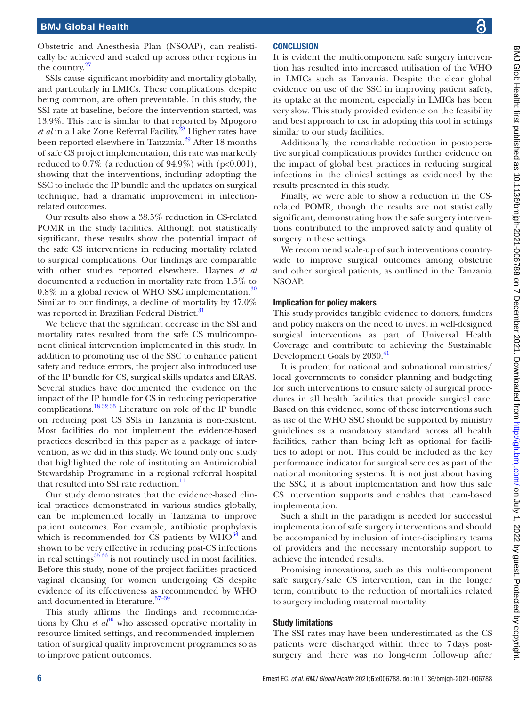Obstetric and Anesthesia Plan (NSOAP), can realistically be achieved and scaled up across other regions in the country. $27$ 

SSIs cause significant morbidity and mortality globally, and particularly in LMICs. These complications, despite being common, are often preventable. In this study, the SSI rate at baseline, before the intervention started, was 13.9%. This rate is similar to that reported by Mpogoro *et al* in a Lake Zone Referral Facility.<sup>28</sup> Higher rates have been reported elsewhere in Tanzania.<sup>29</sup> After 18 months of safe CS project implementation, this rate was markedly reduced to  $0.7\%$  (a reduction of  $94.9\%$ ) with (p<0.001), showing that the interventions, including adopting the SSC to include the IP bundle and the updates on surgical technique, had a dramatic improvement in infectionrelated outcomes.

Our results also show a 38.5% reduction in CS-related POMR in the study facilities. Although not statistically significant, these results show the potential impact of the safe CS interventions in reducing mortality related to surgical complications. Our findings are comparable with other studies reported elsewhere. Haynes *et al* documented a reduction in mortality rate from 1.5% to  $0.8\%$  in a global review of WHO SSC implementation.<sup>[30](#page-7-12)</sup> Similar to our findings, a decline of mortality by 47.0% was reported in Brazilian Federal District.<sup>[31](#page-7-13)</sup>

We believe that the significant decrease in the SSI and mortality rates resulted from the safe CS multicomponent clinical intervention implemented in this study. In addition to promoting use of the SSC to enhance patient safety and reduce errors, the project also introduced use of the IP bundle for CS, surgical skills updates and ERAS. Several studies have documented the evidence on the impact of the IP bundle for CS in reducing perioperative complications.<sup>[18 32 33](#page-7-2)</sup> Literature on role of the IP bundle on reducing post CS SSIs in Tanzania is non-existent. Most facilities do not implement the evidence-based practices described in this paper as a package of intervention, as we did in this study. We found only one study that highlighted the role of instituting an Antimicrobial Stewardship Programme in a regional referral hospital that resulted into SSI rate reduction.<sup>[11](#page-6-8)</sup>

Our study demonstrates that the evidence-based clinical practices demonstrated in various studies globally, can be implemented locally in Tanzania to improve patient outcomes. For example, antibiotic prophylaxis which is recommended for CS patients by  $WHO^{34}$  and shown to be very effective in reducing post-CS infections in real settings $^{35\,36}$  is not routinely used in most facilities. Before this study, none of the project facilities practiced vaginal cleansing for women undergoing CS despite evidence of its effectiveness as recommended by WHO and documented in literature.<sup>37-39</sup>

This study affirms the findings and recommendations by Chu *et al*<sup>40</sup> who assessed operative mortality in resource limited settings, and recommended implementation of surgical quality improvement programmes so as to improve patient outcomes.

## **CONCLUSION**

It is evident the multicomponent safe surgery intervention has resulted into increased utilisation of the WHO in LMICs such as Tanzania. Despite the clear global evidence on use of the SSC in improving patient safety, its uptake at the moment, especially in LMICs has been very slow. This study provided evidence on the feasibility and best approach to use in adopting this tool in settings similar to our study facilities.

Additionally, the remarkable reduction in postoperative surgical complications provides further evidence on the impact of global best practices in reducing surgical infections in the clinical settings as evidenced by the results presented in this study.

Finally, we were able to show a reduction in the CSrelated POMR, though the results are not statistically significant, demonstrating how the safe surgery interventions contributed to the improved safety and quality of surgery in these settings.

We recommend scale-up of such interventions countrywide to improve surgical outcomes among obstetric and other surgical patients, as outlined in the Tanzania NSOAP.

#### Implication for policy makers

This study provides tangible evidence to donors, funders and policy makers on the need to invest in well-designed surgical interventions as part of Universal Health Coverage and contribute to achieving the Sustainable Development Goals by 2030.<sup>[41](#page-7-18)</sup>

It is prudent for national and subnational ministries/ local governments to consider planning and budgeting for such interventions to ensure safety of surgical procedures in all health facilities that provide surgical care. Based on this evidence, some of these interventions such as use of the WHO SSC should be supported by ministry guidelines as a mandatory standard across all health facilities, rather than being left as optional for facilities to adopt or not. This could be included as the key performance indicator for surgical services as part of the national monitoring systems. It is not just about having the SSC, it is about implementation and how this safe CS intervention supports and enables that team-based implementation.

Such a shift in the paradigm is needed for successful implementation of safe surgery interventions and should be accompanied by inclusion of inter-disciplinary teams of providers and the necessary mentorship support to achieve the intended results.

Promising innovations, such as this multi-component safe surgery/safe CS intervention, can in the longer term, contribute to the reduction of mortalities related to surgery including maternal mortality.

## Study limitations

The SSI rates may have been underestimated as the CS patients were discharged within three to 7days postsurgery and there was no long-term follow-up after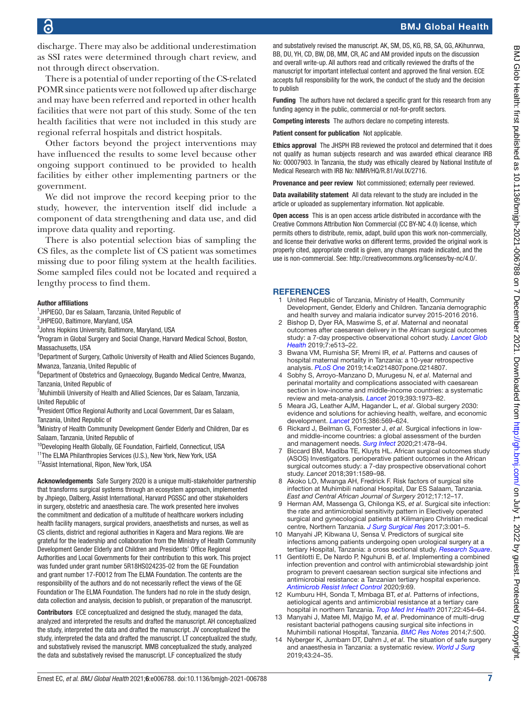discharge. There may also be additional underestimation as SSI rates were determined through chart review, and not through direct observation.

There is a potential of under reporting of the CS-related POMR since patients were not followed up after discharge and may have been referred and reported in other health facilities that were not part of this study. Some of the ten health facilities that were not included in this study are regional referral hospitals and district hospitals.

Other factors beyond the project interventions may have influenced the results to some level because other ongoing support continued to be provided to health facilities by either other implementing partners or the government.

We did not improve the record keeping prior to the study, however, the intervention itself did include a component of data strengthening and data use, and did improve data quality and reporting.

There is also potential selection bias of sampling the CS files, as the complete list of CS patient was sometimes missing due to poor filing system at the health facilities. Some sampled files could not be located and required a lengthy process to find them.

#### Author affiliations

<sup>1</sup>JHPIEGO, Dar es Salaam, Tanzania, United Republic of

2 JHPIEGO, Baltimore, Maryland, USA

3 Johns Hopkins University, Baltimore, Maryland, USA

<sup>4</sup>Program in Global Surgery and Social Change, Harvard Medical School, Boston, Massachusetts, USA

<sup>5</sup>Department of Surgery, Catholic University of Health and Allied Sciences Bugando, Mwanza, Tanzania, United Republic of

<sup>6</sup>Department of Obstetrics and Gynaecology, Bugando Medical Centre, Mwanza, Tanzania, United Republic of

<sup>7</sup> Muhimbili University of Health and Allied Sciences, Dar es Salaam, Tanzania, United Republic of

<sup>8</sup>President Office Regional Authority and Local Government, Dar es Salaam, Tanzania, United Republic of

<sup>9</sup>Ministry of Health Community Development Gender Elderly and Children, Dar es Salaam, Tanzania, United Republic of

<sup>10</sup>Developing Health Globally, GE Foundation, Fairfield, Connecticut, USA

<sup>11</sup>The ELMA Philanthropies Services (U.S.), New York, New York, USA

12 Assist International, Ripon, New York, USA

Acknowledgements Safe Surgery 2020 is a unique multi-stakeholder partnership that transforms surgical systems through an ecosystem approach, implemented by Jhpiego, Dalberg, Assist International, Harvard PGSSC and other stakeholders in surgery, obstetric and anaesthesia care. The work presented here involves the commitment and dedication of a multitude of healthcare workers including health facility managers, surgical providers, anaesthetists and nurses, as well as CS clients, district and regional authorities in Kagera and Mara regions. We are grateful for the leadership and collaboration from the Ministry of Health Community Development Gender Elderly and Children and Presidents' Office Regional Authorities and Local Governments for their contribution to this work. This project was funded under grant number 5R18HS024235-02 from the GE Foundation and grant number 17-F0012 from The ELMA Foundation. The contents are the responsibility of the authors and do not necessarily reflect the views of the GE Foundation or The ELMA Foundation. The funders had no role in the study design, data collection and analysis, decision to publish, or preparation of the manuscript.

Contributors ECE conceptualized and designed the study, managed the data, analyzed and interpreted the results and drafted the manuscript. AH conceptualized the study, interpreted the data and drafted the manuscript. JV conceptualized the study, interpreted the data and drafted the manuscript. LT conceptualized the study, and substatively revised the manuscript. MMB conceptualized the study, analyzed the data and substatively revised the manuscript. LF conceptualized the study

and substatively revised the manuscript. AK, SM, DS, KG, RB, SA, GG, AKihunrwa, BB, DU, YH, CD, BW, DB, MM, CR, AC and AM provided inputs on the discussion and overall write-up. All authors read and critically reviewed the drafts of the manuscript for important intellectual content and approved the final version. ECE accepts full responsibility for the work, the conduct of the study and the decision to publish

Funding The authors have not declared a specific grant for this research from any funding agency in the public, commercial or not-for-profit sectors.

Competing interests The authors declare no competing interests.

Patient consent for publication Not applicable.

Ethics approval The JHSPH IRB reviewed the protocol and determined that it does not qualify as human subjects research and was awarded ethical clearance IRB No: 00007903. In Tanzania, the study was ethically cleared by National Institute of Medical Research with IRB No: NIMR/HQ/R.81/Vol.IX/2716.

Provenance and peer review Not commissioned; externally peer reviewed.

Data availability statement All data relevant to the study are included in the article or uploaded as supplementary information. Not applicable.

Open access This is an open access article distributed in accordance with the Creative Commons Attribution Non Commercial (CC BY-NC 4.0) license, which permits others to distribute, remix, adapt, build upon this work non-commercially, and license their derivative works on different terms, provided the original work is properly cited, appropriate credit is given, any changes made indicated, and the use is non-commercial. See:<http://creativecommons.org/licenses/by-nc/4.0/>.

#### **REFERENCES**

- <span id="page-6-0"></span>1 United Republic of Tanzania, Ministry of Health, Community Development, Gender, Elderly and Children. Tanzania demographic and health survey and malaria indicator survey 2015-2016 2016.
- <span id="page-6-1"></span>2 Bishop D, Dyer RA, Maswime S, *et al*. Maternal and neonatal outcomes after caesarean delivery in the African surgical outcomes study: a 7-day prospective observational cohort study. *[Lancet Glob](http://dx.doi.org/10.1016/S2214-109X(19)30036-1)  [Health](http://dx.doi.org/10.1016/S2214-109X(19)30036-1)* 2019;7:e513–22.
- 3 Bwana VM, Rumisha SF, Mremi IR, *et al*. Patterns and causes of hospital maternal mortality in Tanzania: a 10-year retrospective analysis. **[PLoS One](http://dx.doi.org/10.1371/journal.pone.0214807)** 2019;14:e0214807pone.0214807.
- <span id="page-6-2"></span>4 Sobhy S, Arroyo-Manzano D, Murugesu N, *et al*. Maternal and perinatal mortality and complications associated with caesarean section in low-income and middle-income countries: a systematic review and meta-analysis. *[Lancet](http://dx.doi.org/10.1016/S0140-6736(18)32386-9)* 2019;393:1973–82.
- <span id="page-6-3"></span>5 Meara JG, Leather AJM, Hagander L, *et al*. Global surgery 2030: evidence and solutions for achieving health, welfare, and economic development. *[Lancet](http://dx.doi.org/10.1016/S0140-6736(15)60160-X)* 2015;386:569–624.
- <span id="page-6-4"></span>6 Rickard J, Beilman G, Forrester J, *et al*. Surgical infections in lowand middle-income countries: a global assessment of the burden and management needs. *[Surg Infect](http://dx.doi.org/10.1089/sur.2019.142)* 2020;21:478–94.
- <span id="page-6-5"></span>7 Biccard BM, Madiba TE, Kluyts HL. African surgical outcomes study (ASOS) Investigators. perioperative patient outcomes in the African surgical outcomes study: a 7-day prospective observational cohort study. *Lancet* 2018;391:1589–98.
- <span id="page-6-6"></span>8 Akoko LO, Mwanga AH, Fredrick F. Risk factors of surgical site infection at Muhimbili national Hospital, Dar ES Salaam, Tanzania. *East and Central African Journal of Surgery* 2012;17:12–17.
- 9 Herman AM, Massenga G, Chilonga KS, *et al*. Surgical site infection: the rate and antimicrobial sensitivity pattern in Electively operated surgical and gynecological patients at Kilimanjaro Christian medical centre, Northern Tanzania. *[J Surg Surgical Res](http://dx.doi.org/10.17352/2455-2968.000034)* 2017;3:001–5.
- 10 Manyahi JP, Kibwana U, Sensa V. Predictors of surgical site infections among patients undergoing open urological surgery at a tertiary Hospital, Tanzania: a cross sectional study. *[Research Square](http://dx.doi.org/10.21203/rs.2.10745/v1)*.
- <span id="page-6-8"></span>11 Gentilotti E, De Nardo P, Nguhuni B, *et al*. Implementing a combined infection prevention and control with antimicrobial stewardship joint program to prevent caesarean section surgical site infections and antimicrobial resistance: a Tanzanian tertiary hospital experience. *[Antimicrob Resist Infect Control](http://dx.doi.org/10.1186/s13756-020-00740-7)* 2020;9:69.
- 12 Kumburu HH, Sonda T, Mmbaga BT, *et al*. Patterns of infections, aetiological agents and antimicrobial resistance at a tertiary care hospital in northern Tanzania. *[Trop Med Int Health](http://dx.doi.org/10.1111/tmi.12836)* 2017;22:454–64.
- 13 Manyahi J, Matee MI, Majigo M, *et al*. Predominance of multi-drug resistant bacterial pathogens causing surgical site infections in Muhimbili national Hospital, Tanzania. *[BMC Res Notes](http://dx.doi.org/10.1186/1756-0500-7-500)* 2014;7:500.
- <span id="page-6-7"></span>14 Nyberger K, Jumbam DT, Dahm J, *et al*. The situation of safe surgery and anaesthesia in Tanzania: a systematic review. *[World J Surg](http://dx.doi.org/10.1007/s00268-018-4767-7)* 2019;43:24–35.